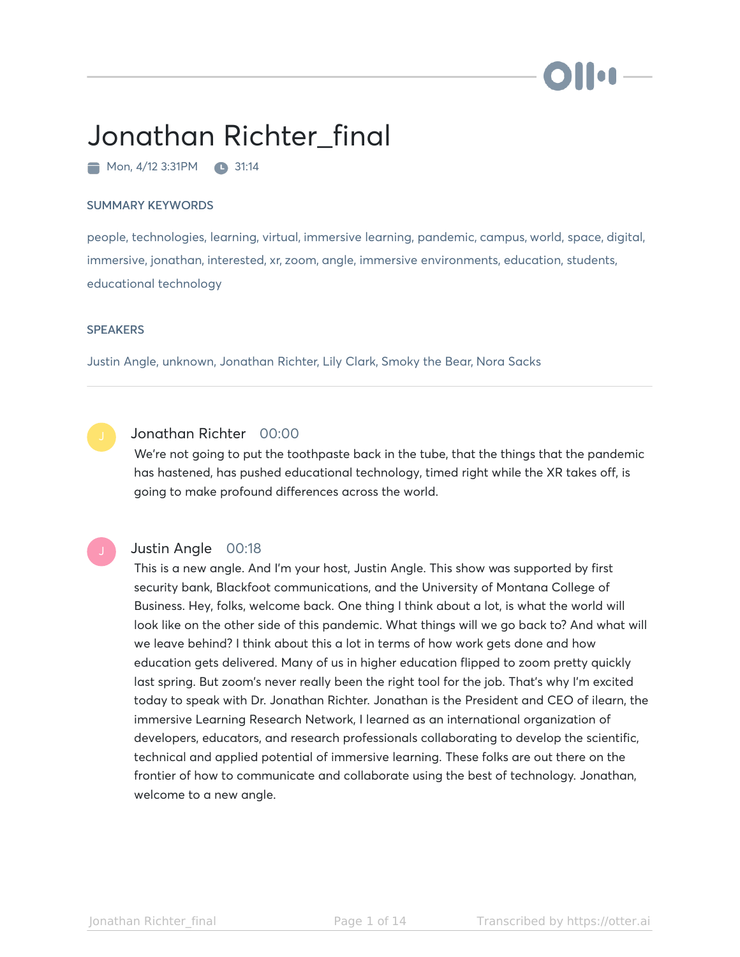# **No**

# Jonathan Richter\_final

 $\blacksquare$  Mon, 4/12 3:31PM  $\blacksquare$  31:14

#### SUMMARY KEYWORDS

people, technologies, learning, virtual, immersive learning, pandemic, campus, world, space, digital, immersive, jonathan, interested, xr, zoom, angle, immersive environments, education, students, educational technology

#### **SPEAKERS**

Justin Angle, unknown, Jonathan Richter, Lily Clark, Smoky the Bear, Nora Sacks

# Jonathan Richter 00:00

We're not going to put the toothpaste back in the tube, that the things that the pandemic has hastened, has pushed educational technology, timed right while the XR takes off, is going to make profound differences across the world.

#### Justin Angle 00:18

This is a new angle. And I'm your host, Justin Angle. This show was supported by first security bank, Blackfoot communications, and the University of Montana College of Business. Hey, folks, welcome back. One thing I think about a lot, is what the world will look like on the other side of this pandemic. What things will we go back to? And what will we leave behind? I think about this a lot in terms of how work gets done and how education gets delivered. Many of us in higher education flipped to zoom pretty quickly last spring. But zoom's never really been the right tool for the job. That's why I'm excited today to speak with Dr. Jonathan Richter. Jonathan is the President and CEO of ilearn, the immersive Learning Research Network, I learned as an international organization of developers, educators, and research professionals collaborating to develop the scientific, technical and applied potential of immersive learning. These folks are out there on the frontier of how to communicate and collaborate using the best of technology. Jonathan, welcome to a new angle.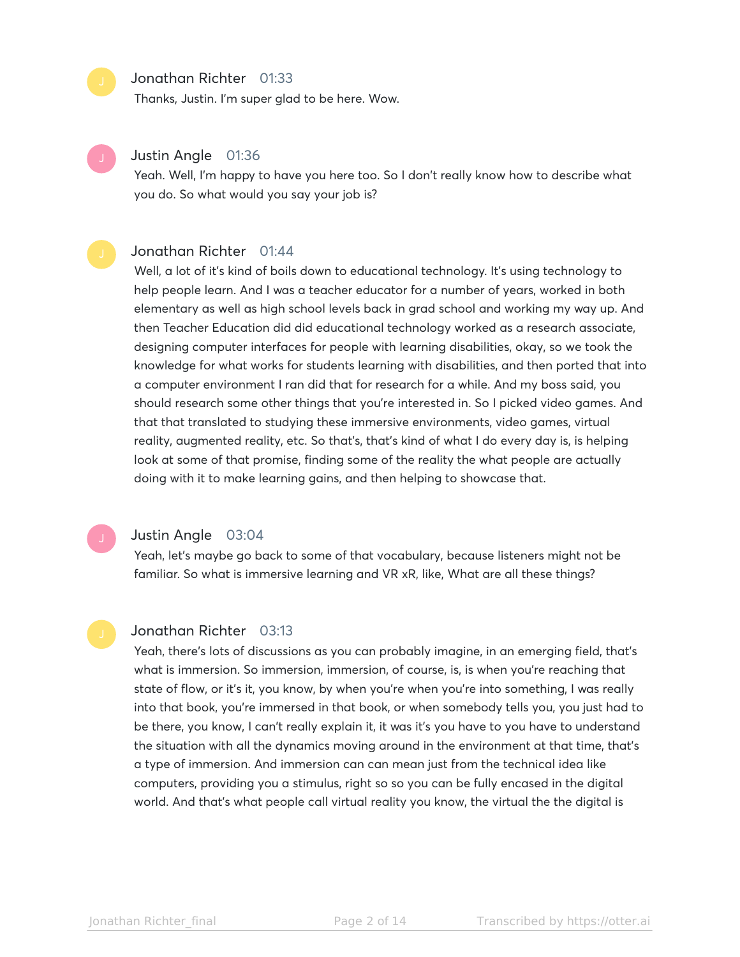#### Jonathan Richter 01:33

Thanks, Justin. I'm super glad to be here. Wow.



### Justin Angle 01:36

Yeah. Well, I'm happy to have you here too. So I don't really know how to describe what you do. So what would you say your job is?

#### Jonathan Richter 01:44

Well, a lot of it's kind of boils down to educational technology. It's using technology to help people learn. And I was a teacher educator for a number of years, worked in both elementary as well as high school levels back in grad school and working my way up. And then Teacher Education did did educational technology worked as a research associate, designing computer interfaces for people with learning disabilities, okay, so we took the knowledge for what works for students learning with disabilities, and then ported that into a computer environment I ran did that for research for a while. And my boss said, you should research some other things that you're interested in. So I picked video games. And that that translated to studying these immersive environments, video games, virtual reality, augmented reality, etc. So that's, that's kind of what I do every day is, is helping look at some of that promise, finding some of the reality the what people are actually doing with it to make learning gains, and then helping to showcase that.

#### Justin Angle 03:04

Yeah, let's maybe go back to some of that vocabulary, because listeners might not be familiar. So what is immersive learning and VR xR, like, What are all these things?

#### Jonathan Richter 03:13

Yeah, there's lots of discussions as you can probably imagine, in an emerging field, that's what is immersion. So immersion, immersion, of course, is, is when you're reaching that state of flow, or it's it, you know, by when you're when you're into something, I was really into that book, you're immersed in that book, or when somebody tells you, you just had to be there, you know, I can't really explain it, it was it's you have to you have to understand the situation with all the dynamics moving around in the environment at that time, that's a type of immersion. And immersion can can mean just from the technical idea like computers, providing you a stimulus, right so so you can be fully encased in the digital world. And that's what people call virtual reality you know, the virtual the the digital is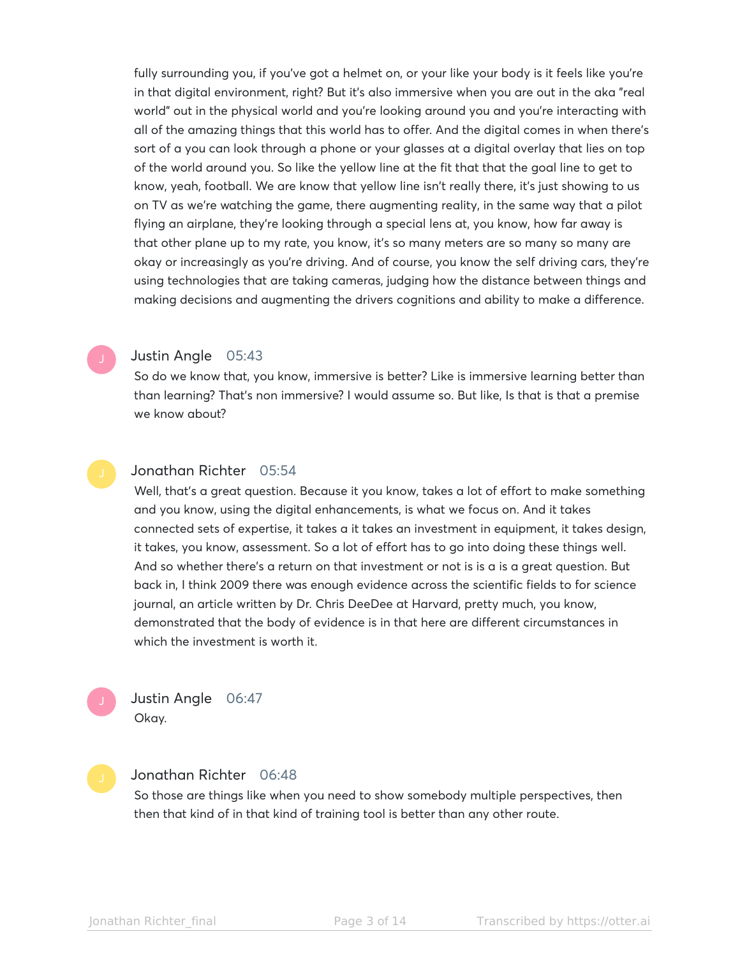fully surrounding you, if you've got a helmet on, or your like your body is it feels like you're in that digital environment, right? But it's also immersive when you are out in the aka "real world" out in the physical world and you're looking around you and you're interacting with all of the amazing things that this world has to offer. And the digital comes in when there's sort of a you can look through a phone or your glasses at a digital overlay that lies on top of the world around you. So like the yellow line at the fit that that the goal line to get to know, yeah, football. We are know that yellow line isn't really there, it's just showing to us on TV as we're watching the game, there augmenting reality, in the same way that a pilot flying an airplane, they're looking through a special lens at, you know, how far away is that other plane up to my rate, you know, it's so many meters are so many so many are okay or increasingly as you're driving. And of course, you know the self driving cars, they're using technologies that are taking cameras, judging how the distance between things and making decisions and augmenting the drivers cognitions and ability to make a difference.



#### Justin Angle 05:43

So do we know that, you know, immersive is better? Like is immersive learning better than than learning? That's non immersive? I would assume so. But like, Is that is that a premise we know about?



#### Jonathan Richter 05:54

Well, that's a great question. Because it you know, takes a lot of effort to make something and you know, using the digital enhancements, is what we focus on. And it takes connected sets of expertise, it takes a it takes an investment in equipment, it takes design, it takes, you know, assessment. So a lot of effort has to go into doing these things well. And so whether there's a return on that investment or not is is a is a great question. But back in, I think 2009 there was enough evidence across the scientific fields to for science journal, an article written by Dr. Chris DeeDee at Harvard, pretty much, you know, demonstrated that the body of evidence is in that here are different circumstances in which the investment is worth it.

Justin Angle 06:47 Okay.

# Jonathan Richter 06:48

So those are things like when you need to show somebody multiple perspectives, then then that kind of in that kind of training tool is better than any other route.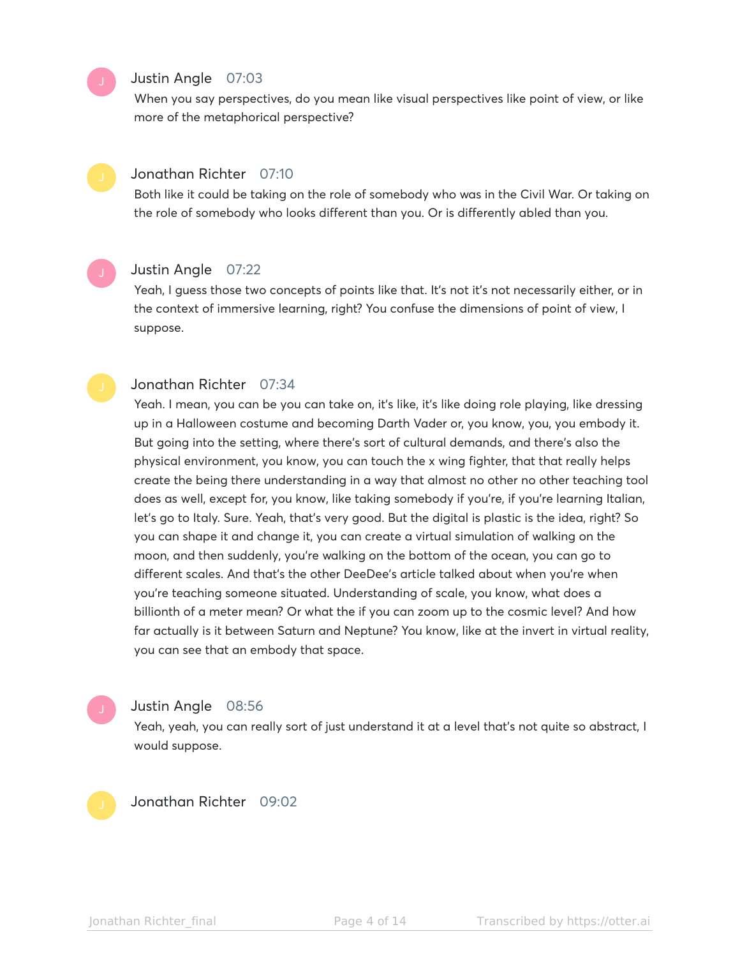#### Justin Angle 07:03

When you say perspectives, do you mean like visual perspectives like point of view, or like more of the metaphorical perspective?

# Jonathan Richter 07:10

Both like it could be taking on the role of somebody who was in the Civil War. Or taking on the role of somebody who looks different than you. Or is differently abled than you.

### Justin Angle 07:22

Yeah, I guess those two concepts of points like that. It's not it's not necessarily either, or in the context of immersive learning, right? You confuse the dimensions of point of view, I suppose.

#### Jonathan Richter 07:34

Yeah. I mean, you can be you can take on, it's like, it's like doing role playing, like dressing up in a Halloween costume and becoming Darth Vader or, you know, you, you embody it. But going into the setting, where there's sort of cultural demands, and there's also the physical environment, you know, you can touch the x wing fighter, that that really helps create the being there understanding in a way that almost no other no other teaching tool does as well, except for, you know, like taking somebody if you're, if you're learning Italian, let's go to Italy. Sure. Yeah, that's very good. But the digital is plastic is the idea, right? So you can shape it and change it, you can create a virtual simulation of walking on the moon, and then suddenly, you're walking on the bottom of the ocean, you can go to different scales. And that's the other DeeDee's article talked about when you're when you're teaching someone situated. Understanding of scale, you know, what does a billionth of a meter mean? Or what the if you can zoom up to the cosmic level? And how far actually is it between Saturn and Neptune? You know, like at the invert in virtual reality, you can see that an embody that space.

# Justin Angle 08:56

Yeah, yeah, you can really sort of just understand it at a level that's not quite so abstract, I would suppose.



Jonathan Richter 09:02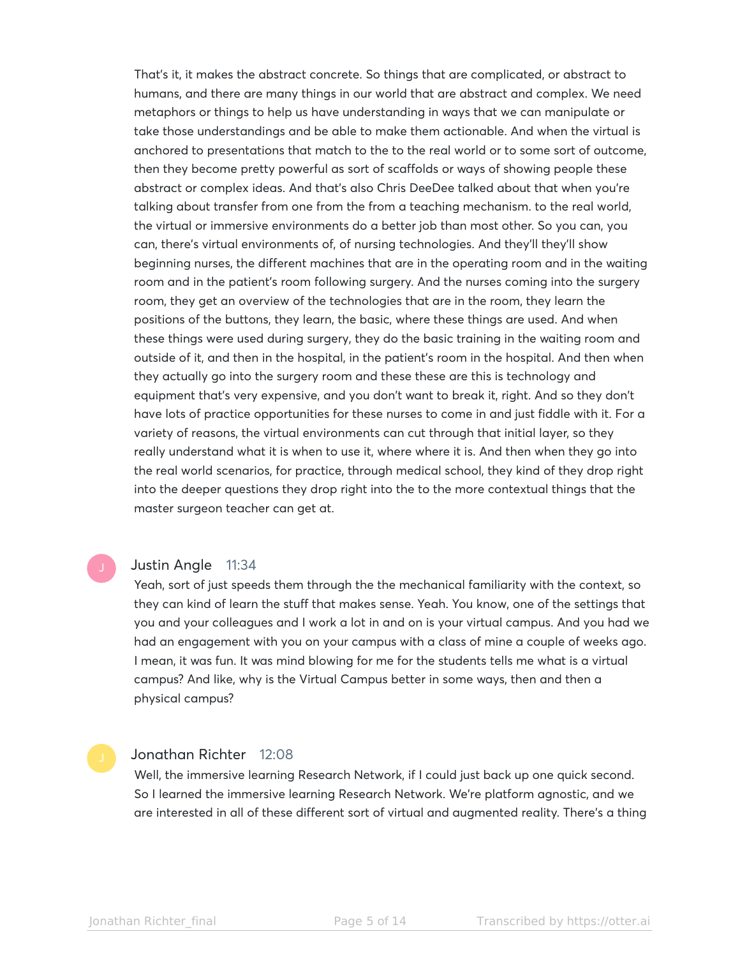That's it, it makes the abstract concrete. So things that are complicated, or abstract to humans, and there are many things in our world that are abstract and complex. We need metaphors or things to help us have understanding in ways that we can manipulate or take those understandings and be able to make them actionable. And when the virtual is anchored to presentations that match to the to the real world or to some sort of outcome, then they become pretty powerful as sort of scaffolds or ways of showing people these abstract or complex ideas. And that's also Chris DeeDee talked about that when you're talking about transfer from one from the from a teaching mechanism. to the real world, the virtual or immersive environments do a better job than most other. So you can, you can, there's virtual environments of, of nursing technologies. And they'll they'll show beginning nurses, the different machines that are in the operating room and in the waiting room and in the patient's room following surgery. And the nurses coming into the surgery room, they get an overview of the technologies that are in the room, they learn the positions of the buttons, they learn, the basic, where these things are used. And when these things were used during surgery, they do the basic training in the waiting room and outside of it, and then in the hospital, in the patient's room in the hospital. And then when they actually go into the surgery room and these these are this is technology and equipment that's very expensive, and you don't want to break it, right. And so they don't have lots of practice opportunities for these nurses to come in and just fiddle with it. For a variety of reasons, the virtual environments can cut through that initial layer, so they really understand what it is when to use it, where where it is. And then when they go into the real world scenarios, for practice, through medical school, they kind of they drop right into the deeper questions they drop right into the to the more contextual things that the master surgeon teacher can get at.

# Justin Angle 11:34

Yeah, sort of just speeds them through the the mechanical familiarity with the context, so they can kind of learn the stuff that makes sense. Yeah. You know, one of the settings that you and your colleagues and I work a lot in and on is your virtual campus. And you had we had an engagement with you on your campus with a class of mine a couple of weeks ago. I mean, it was fun. It was mind blowing for me for the students tells me what is a virtual campus? And like, why is the Virtual Campus better in some ways, then and then a physical campus?

### Jonathan Richter 12:08

Well, the immersive learning Research Network, if I could just back up one quick second. So I learned the immersive learning Research Network. We're platform agnostic, and we are interested in all of these different sort of virtual and augmented reality. There's a thing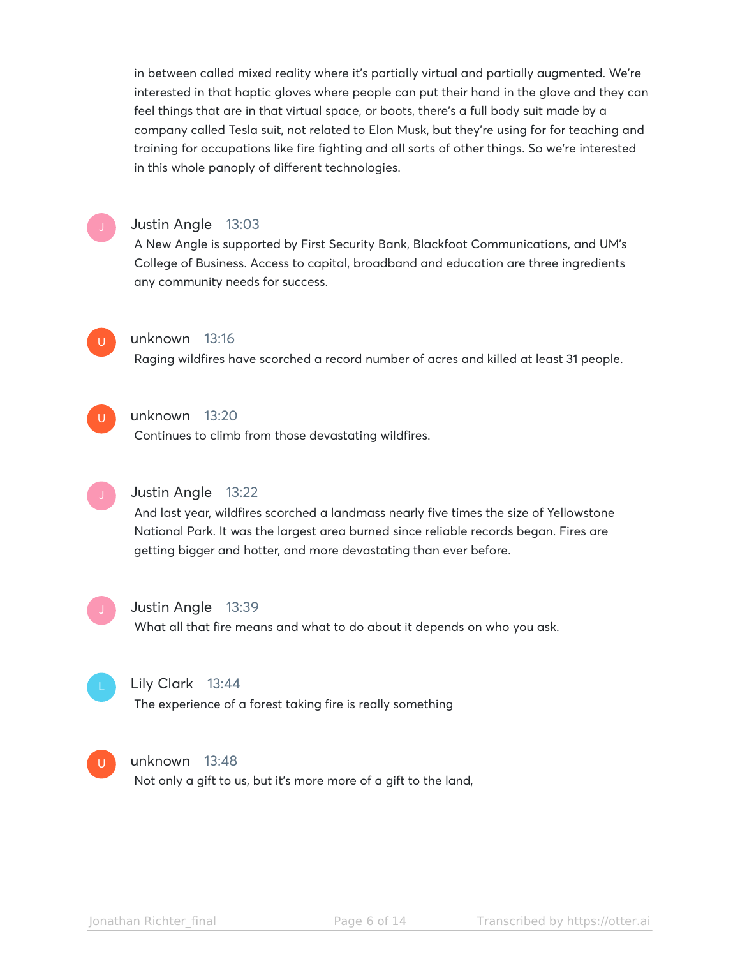in between called mixed reality where it's partially virtual and partially augmented. We're interested in that haptic gloves where people can put their hand in the glove and they can feel things that are in that virtual space, or boots, there's a full body suit made by a company called Tesla suit, not related to Elon Musk, but they're using for for teaching and training for occupations like fire fighting and all sorts of other things. So we're interested in this whole panoply of different technologies.

### Justin Angle 13:03

A New Angle is supported by First Security Bank, Blackfoot Communications, and UM's College of Business. Access to capital, broadband and education are three ingredients any community needs for success.



# unknown 13:16

Raging wildfires have scorched a record number of acres and killed at least 31 people.



# unknown 13:20

Continues to climb from those devastating wildfires.



#### Justin Angle 13:22

And last year, wildfires scorched a landmass nearly five times the size of Yellowstone National Park. It was the largest area burned since reliable records began. Fires are getting bigger and hotter, and more devastating than ever before.



#### Justin Angle 13:39

What all that fire means and what to do about it depends on who you ask.



#### Lily Clark 13:44

The experience of a forest taking fire is really something



#### unknown 13:48

Not only a gift to us, but it's more more of a gift to the land,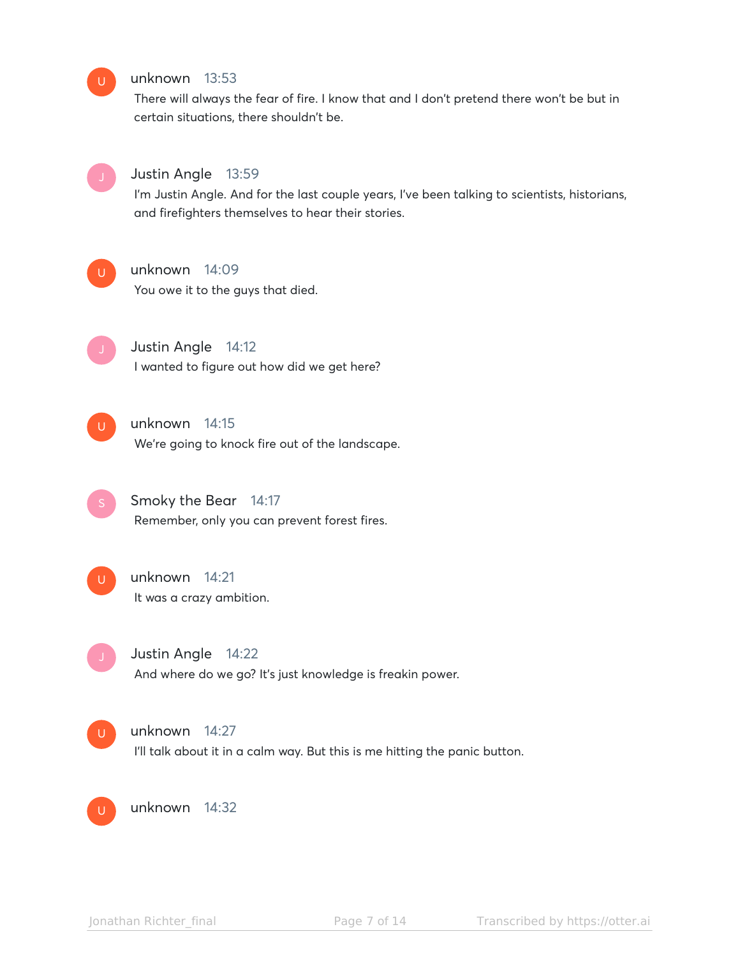# unknown 13:53

There will always the fear of fire. I know that and I don't pretend there won't be but in certain situations, there shouldn't be.



 $U$ 

#### Justin Angle 13:59

I'm Justin Angle. And for the last couple years, I've been talking to scientists, historians, and firefighters themselves to hear their stories.



### unknown 14:09

You owe it to the guys that died.



Justin Angle 14:12 I wanted to figure out how did we get here?



# unknown 14:15

We're going to knock fire out of the landscape.

Smoky the Bear 14:17 Remember, only you can prevent forest fires.



# unknown 14:21

It was a crazy ambition.

Justin Angle 14:22

And where do we go? It's just knowledge is freakin power.



I'll talk about it in a calm way. But this is me hitting the panic button.

 $U$ 

unknown 14:32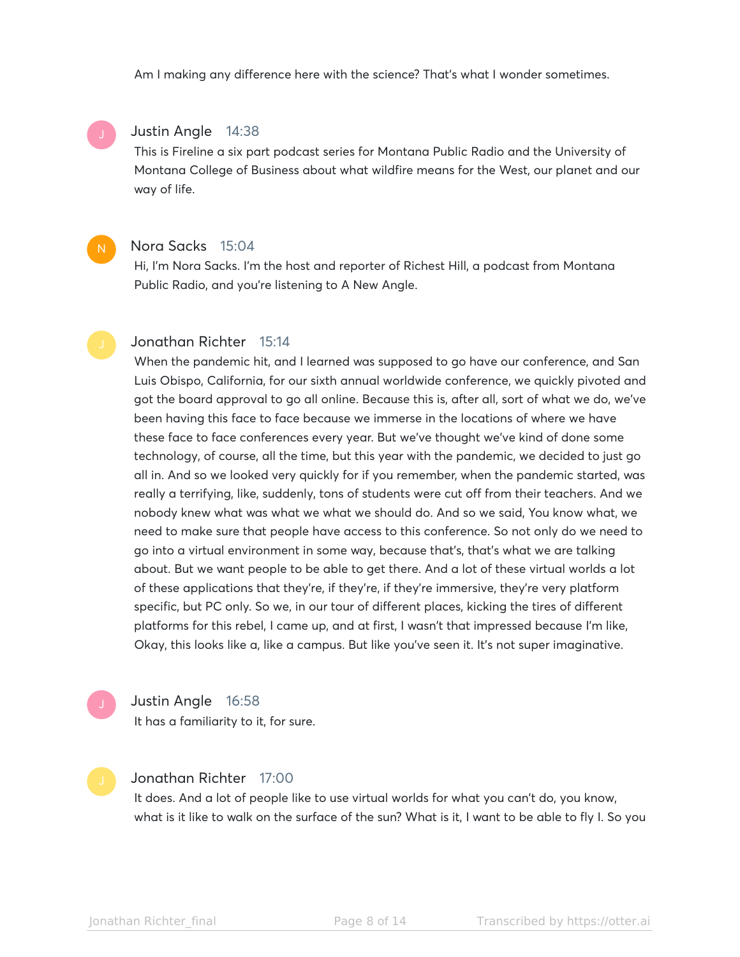Am I making any difference here with the science? That's what I wonder sometimes.

#### Justin Angle 14:38

This is Fireline a six part podcast series for Montana Public Radio and the University of Montana College of Business about what wildfire means for the West, our planet and our way of life.

#### Nora Sacks 15:04

N

Hi, I'm Nora Sacks. I'm the host and reporter of Richest Hill, a podcast from Montana Public Radio, and you're listening to A New Angle.

#### Jonathan Richter 15:14

When the pandemic hit, and I learned was supposed to go have our conference, and San Luis Obispo, California, for our sixth annual worldwide conference, we quickly pivoted and got the board approval to go all online. Because this is, after all, sort of what we do, we've been having this face to face because we immerse in the locations of where we have these face to face conferences every year. But we've thought we've kind of done some technology, of course, all the time, but this year with the pandemic, we decided to just go all in. And so we looked very quickly for if you remember, when the pandemic started, was really a terrifying, like, suddenly, tons of students were cut off from their teachers. And we nobody knew what was what we what we should do. And so we said, You know what, we need to make sure that people have access to this conference. So not only do we need to go into a virtual environment in some way, because that's, that's what we are talking about. But we want people to be able to get there. And a lot of these virtual worlds a lot of these applications that they're, if they're, if they're immersive, they're very platform specific, but PC only. So we, in our tour of different places, kicking the tires of different platforms for this rebel, I came up, and at first, I wasn't that impressed because I'm like, Okay, this looks like a, like a campus. But like you've seen it. It's not super imaginative.

## Justin Angle 16:58

It has a familiarity to it, for sure.

# Jonathan Richter 17:00

It does. And a lot of people like to use virtual worlds for what you can't do, you know, what is it like to walk on the surface of the sun? What is it, I want to be able to fly I. So you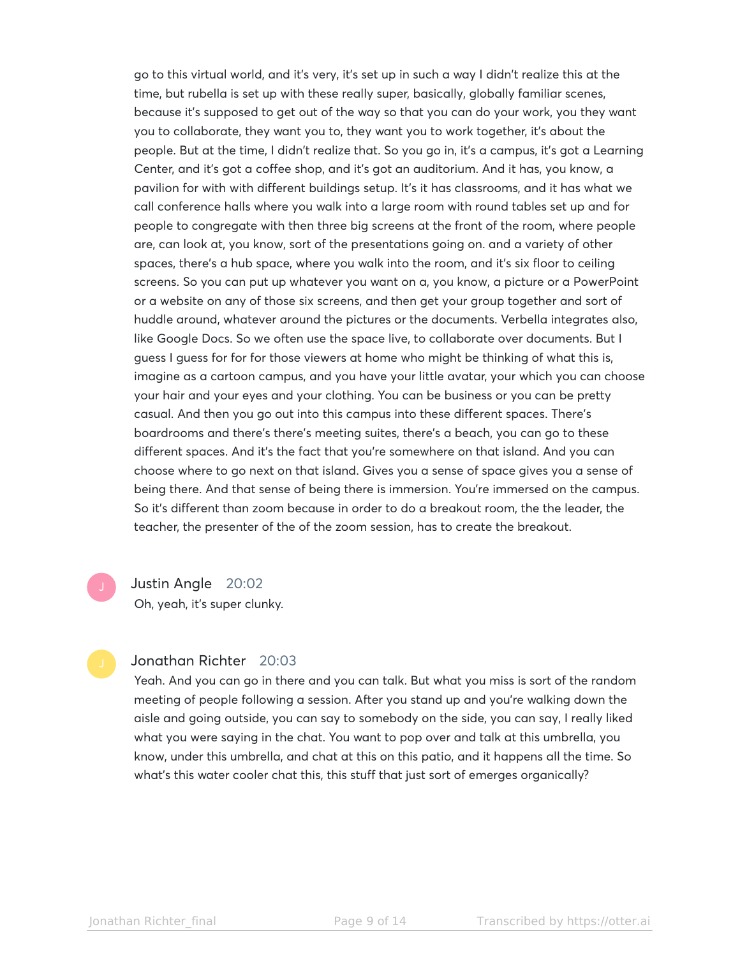go to this virtual world, and it's very, it's set up in such a way I didn't realize this at the time, but rubella is set up with these really super, basically, globally familiar scenes, because it's supposed to get out of the way so that you can do your work, you they want you to collaborate, they want you to, they want you to work together, it's about the people. But at the time, I didn't realize that. So you go in, it's a campus, it's got a Learning Center, and it's got a coffee shop, and it's got an auditorium. And it has, you know, a pavilion for with with different buildings setup. It's it has classrooms, and it has what we call conference halls where you walk into a large room with round tables set up and for people to congregate with then three big screens at the front of the room, where people are, can look at, you know, sort of the presentations going on. and a variety of other spaces, there's a hub space, where you walk into the room, and it's six floor to ceiling screens. So you can put up whatever you want on a, you know, a picture or a PowerPoint or a website on any of those six screens, and then get your group together and sort of huddle around, whatever around the pictures or the documents. Verbella integrates also, like Google Docs. So we often use the space live, to collaborate over documents. But I guess I guess for for for those viewers at home who might be thinking of what this is, imagine as a cartoon campus, and you have your little avatar, your which you can choose your hair and your eyes and your clothing. You can be business or you can be pretty casual. And then you go out into this campus into these different spaces. There's boardrooms and there's there's meeting suites, there's a beach, you can go to these different spaces. And it's the fact that you're somewhere on that island. And you can choose where to go next on that island. Gives you a sense of space gives you a sense of being there. And that sense of being there is immersion. You're immersed on the campus. So it's different than zoom because in order to do a breakout room, the the leader, the teacher, the presenter of the of the zoom session, has to create the breakout.

Justin Angle 20:02 Oh, yeah, it's super clunky.

#### Jonathan Richter 20:03

Yeah. And you can go in there and you can talk. But what you miss is sort of the random meeting of people following a session. After you stand up and you're walking down the aisle and going outside, you can say to somebody on the side, you can say, I really liked what you were saying in the chat. You want to pop over and talk at this umbrella, you know, under this umbrella, and chat at this on this patio, and it happens all the time. So what's this water cooler chat this, this stuff that just sort of emerges organically?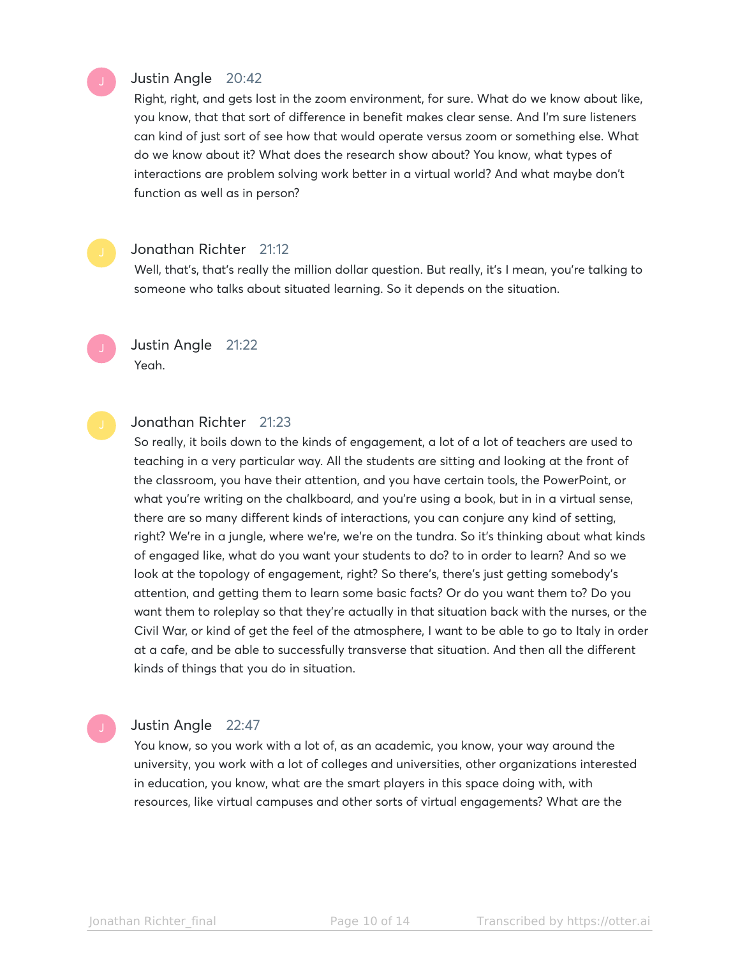# Justin Angle 20:42

Right, right, and gets lost in the zoom environment, for sure. What do we know about like, you know, that that sort of difference in benefit makes clear sense. And I'm sure listeners can kind of just sort of see how that would operate versus zoom or something else. What do we know about it? What does the research show about? You know, what types of interactions are problem solving work better in a virtual world? And what maybe don't function as well as in person?

#### Jonathan Richter 21:12

Well, that's, that's really the million dollar question. But really, it's I mean, you're talking to someone who talks about situated learning. So it depends on the situation.

Justin Angle 21:22 Yeah.

#### Jonathan Richter 21:23

So really, it boils down to the kinds of engagement, a lot of a lot of teachers are used to teaching in a very particular way. All the students are sitting and looking at the front of the classroom, you have their attention, and you have certain tools, the PowerPoint, or what you're writing on the chalkboard, and you're using a book, but in in a virtual sense, there are so many different kinds of interactions, you can conjure any kind of setting, right? We're in a jungle, where we're, we're on the tundra. So it's thinking about what kinds of engaged like, what do you want your students to do? to in order to learn? And so we look at the topology of engagement, right? So there's, there's just getting somebody's attention, and getting them to learn some basic facts? Or do you want them to? Do you want them to roleplay so that they're actually in that situation back with the nurses, or the Civil War, or kind of get the feel of the atmosphere, I want to be able to go to Italy in order at a cafe, and be able to successfully transverse that situation. And then all the different kinds of things that you do in situation.

### Justin Angle 22:47

You know, so you work with a lot of, as an academic, you know, your way around the university, you work with a lot of colleges and universities, other organizations interested in education, you know, what are the smart players in this space doing with, with resources, like virtual campuses and other sorts of virtual engagements? What are the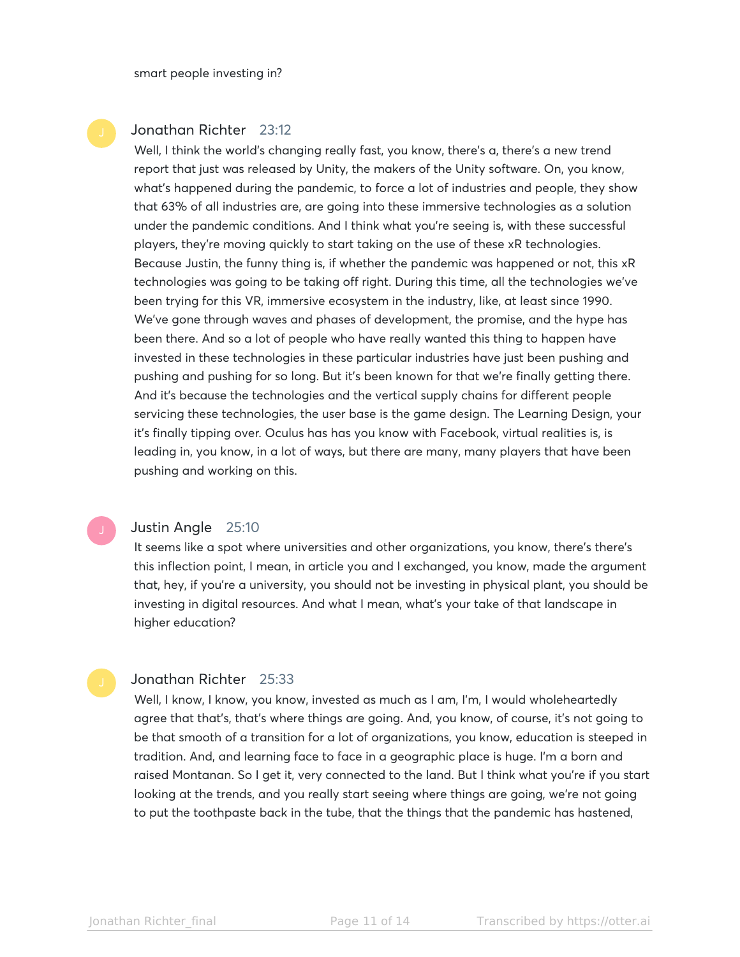### Jonathan Richter 23:12

Well, I think the world's changing really fast, you know, there's a, there's a new trend report that just was released by Unity, the makers of the Unity software. On, you know, what's happened during the pandemic, to force a lot of industries and people, they show that 63% of all industries are, are going into these immersive technologies as a solution under the pandemic conditions. And I think what you're seeing is, with these successful players, they're moving quickly to start taking on the use of these xR technologies. Because Justin, the funny thing is, if whether the pandemic was happened or not, this xR technologies was going to be taking off right. During this time, all the technologies we've been trying for this VR, immersive ecosystem in the industry, like, at least since 1990. We've gone through waves and phases of development, the promise, and the hype has been there. And so a lot of people who have really wanted this thing to happen have invested in these technologies in these particular industries have just been pushing and pushing and pushing for so long. But it's been known for that we're finally getting there. And it's because the technologies and the vertical supply chains for different people servicing these technologies, the user base is the game design. The Learning Design, your it's finally tipping over. Oculus has has you know with Facebook, virtual realities is, is leading in, you know, in a lot of ways, but there are many, many players that have been pushing and working on this.

#### Justin Angle 25:10

It seems like a spot where universities and other organizations, you know, there's there's this inflection point, I mean, in article you and I exchanged, you know, made the argument that, hey, if you're a university, you should not be investing in physical plant, you should be investing in digital resources. And what I mean, what's your take of that landscape in higher education?

#### Jonathan Richter 25:33

Well, I know, I know, you know, invested as much as I am, I'm, I would wholeheartedly agree that that's, that's where things are going. And, you know, of course, it's not going to be that smooth of a transition for a lot of organizations, you know, education is steeped in tradition. And, and learning face to face in a geographic place is huge. I'm a born and raised Montanan. So I get it, very connected to the land. But I think what you're if you start looking at the trends, and you really start seeing where things are going, we're not going to put the toothpaste back in the tube, that the things that the pandemic has hastened,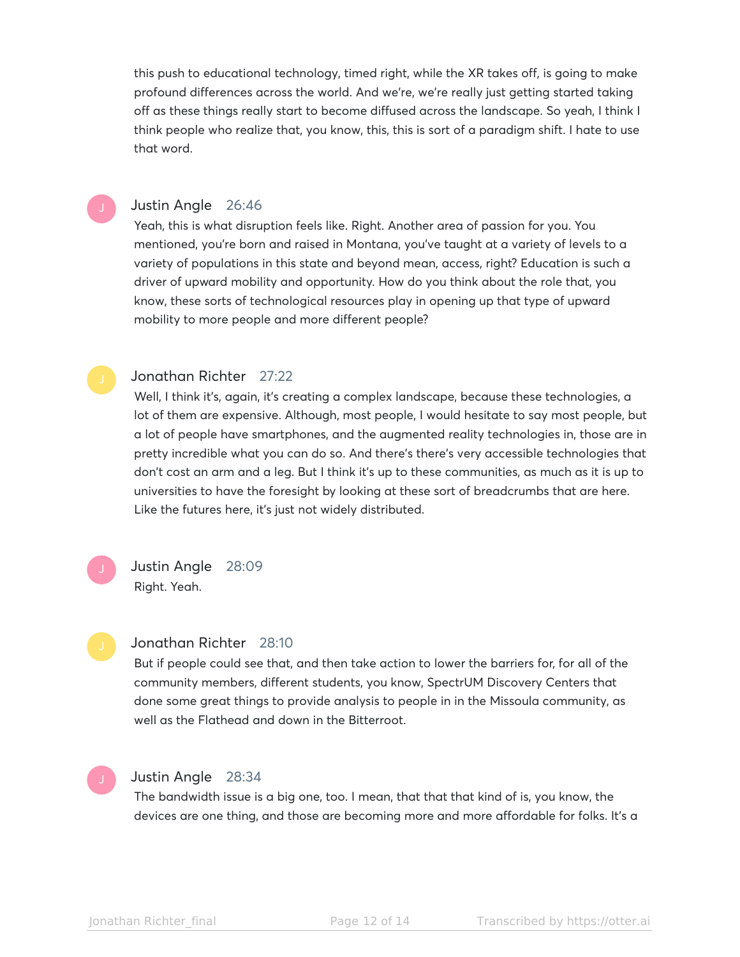this push to educational technology, timed right, while the XR takes off, is going to make profound differences across the world. And we're, we're really just getting started taking off as these things really start to become diffused across the landscape. So yeah, I think I think people who realize that, you know, this, this is sort of a paradigm shift. I hate to use that word.

# Justin Angle 26:46

Yeah, this is what disruption feels like. Right. Another area of passion for you. You mentioned, you're born and raised in Montana, you've taught at a variety of levels to a variety of populations in this state and beyond mean, access, right? Education is such a driver of upward mobility and opportunity. How do you think about the role that, you know, these sorts of technological resources play in opening up that type of upward mobility to more people and more different people?

#### Jonathan Richter 27:22

Well, I think it's, again, it's creating a complex landscape, because these technologies, a lot of them are expensive. Although, most people, I would hesitate to say most people, but a lot of people have smartphones, and the augmented reality technologies in, those are in pretty incredible what you can do so. And there's there's very accessible technologies that don't cost an arm and a leg. But I think it's up to these communities, as much as it is up to universities to have the foresight by looking at these sort of breadcrumbs that are here. Like the futures here, it's just not widely distributed.

Justin Angle 28:09 Right. Yeah.

#### Jonathan Richter 28:10

But if people could see that, and then take action to lower the barriers for, for all of the community members, different students, you know, SpectrUM Discovery Centers that done some great things to provide analysis to people in in the Missoula community, as well as the Flathead and down in the Bitterroot.

# Justin Angle 28:34

The bandwidth issue is a big one, too. I mean, that that that kind of is, you know, the devices are one thing, and those are becoming more and more affordable for folks. It's a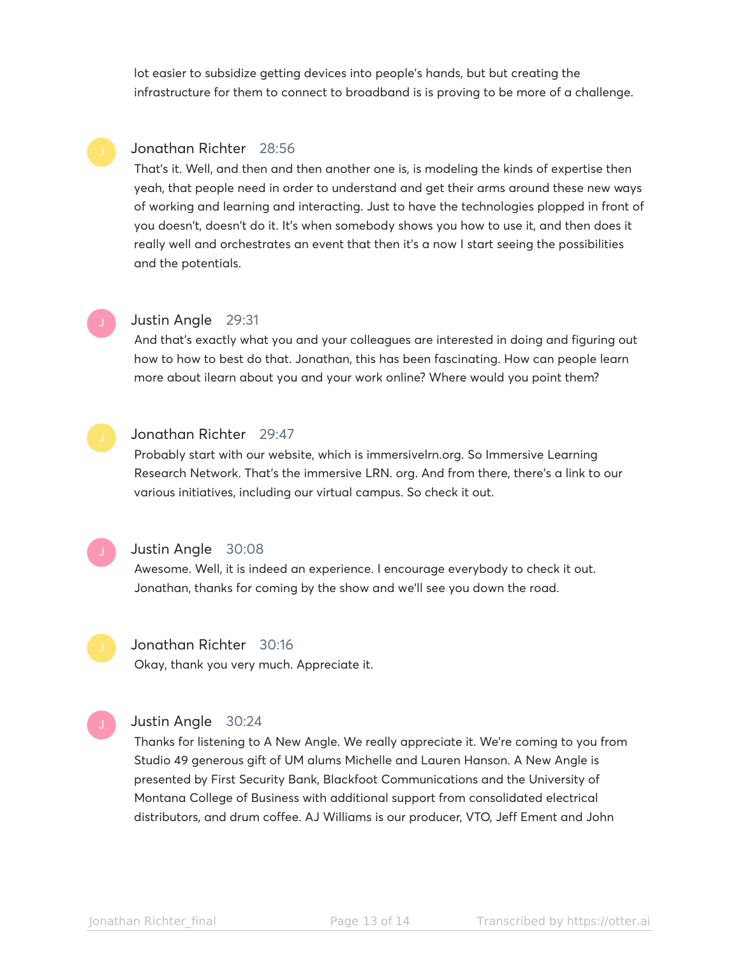lot easier to subsidize getting devices into people's hands, but but creating the infrastructure for them to connect to broadband is is proving to be more of a challenge.

#### Jonathan Richter 28:56

That's it. Well, and then and then another one is, is modeling the kinds of expertise then yeah, that people need in order to understand and get their arms around these new ways of working and learning and interacting. Just to have the technologies plopped in front of you doesn't, doesn't do it. It's when somebody shows you how to use it, and then does it really well and orchestrates an event that then it's a now I start seeing the possibilities and the potentials.

### Justin Angle 29:31

And that's exactly what you and your colleagues are interested in doing and figuring out how to how to best do that. Jonathan, this has been fascinating. How can people learn more about ilearn about you and your work online? Where would you point them?



#### Jonathan Richter 29:47

Probably start with our website, which is immersivelrn.org. So Immersive Learning Research Network. That's the immersive LRN. org. And from there, there's a link to our various initiatives, including our virtual campus. So check it out.



#### Justin Angle 30:08

Awesome. Well, it is indeed an experience. I encourage everybody to check it out. Jonathan, thanks for coming by the show and we'll see you down the road.

Jonathan Richter 30:16

Okay, thank you very much. Appreciate it.

# Justin Angle 30:24

Thanks for listening to A New Angle. We really appreciate it. We're coming to you from Studio 49 generous gift of UM alums Michelle and Lauren Hanson. A New Angle is presented by First Security Bank, Blackfoot Communications and the University of Montana College of Business with additional support from consolidated electrical distributors, and drum coffee. AJ Williams is our producer, VTO, Jeff Ement and John